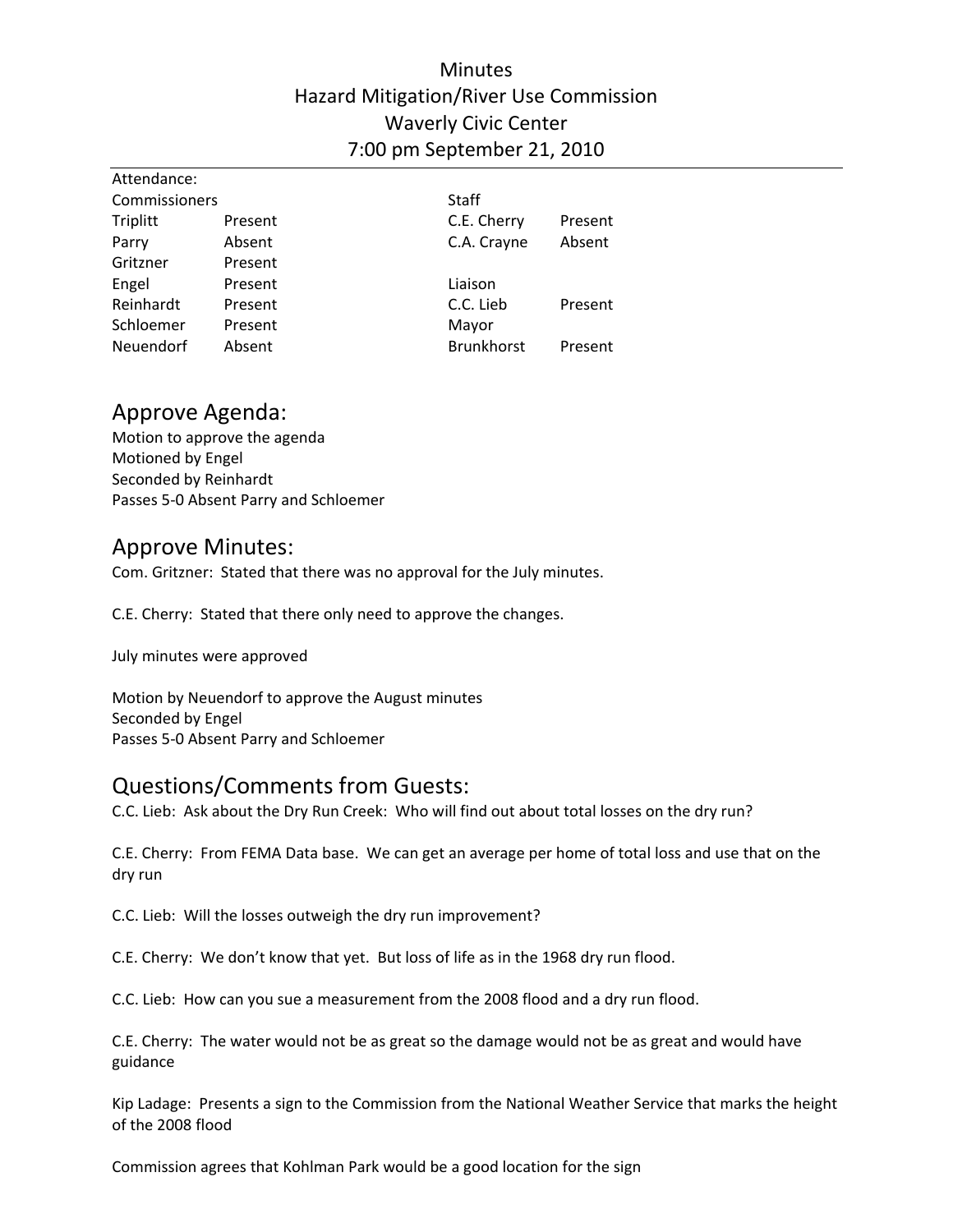## **Minutes** Hazard Mitigation/River Use Commission Waverly Civic Center 7:00 pm September 21, 2010

| Attendance:   |         |                   |         |  |
|---------------|---------|-------------------|---------|--|
| Commissioners |         | <b>Staff</b>      |         |  |
| Triplitt      | Present | C.E. Cherry       | Present |  |
| Parry         | Absent  | C.A. Crayne       | Absent  |  |
| Gritzner      | Present |                   |         |  |
| Engel         | Present | Liaison           |         |  |
| Reinhardt     | Present | C.C. Lieb         | Present |  |
| Schloemer     | Present | Mayor             |         |  |
| Neuendorf     | Absent  | <b>Brunkhorst</b> | Present |  |

#### Approve Agenda:

Motion to approve the agenda Motioned by Engel Seconded by Reinhardt Passes 5‐0 Absent Parry and Schloemer

### Approve Minutes:

Com. Gritzner: Stated that there was no approval for the July minutes.

C.E. Cherry: Stated that there only need to approve the changes.

July minutes were approved

Motion by Neuendorf to approve the August minutes Seconded by Engel Passes 5‐0 Absent Parry and Schloemer

## Questions/Comments from Guests:

C.C. Lieb: Ask about the Dry Run Creek: Who will find out about total losses on the dry run?

C.E. Cherry: From FEMA Data base. We can get an average per home of total loss and use that on the dry run

C.C. Lieb: Will the losses outweigh the dry run improvement?

C.E. Cherry: We don't know that yet. But loss of life as in the 1968 dry run flood.

C.C. Lieb: How can you sue a measurement from the 2008 flood and a dry run flood.

C.E. Cherry: The water would not be as great so the damage would not be as great and would have guidance

Kip Ladage: Presents a sign to the Commission from the National Weather Service that marks the height of the 2008 flood

Commission agrees that Kohlman Park would be a good location for the sign